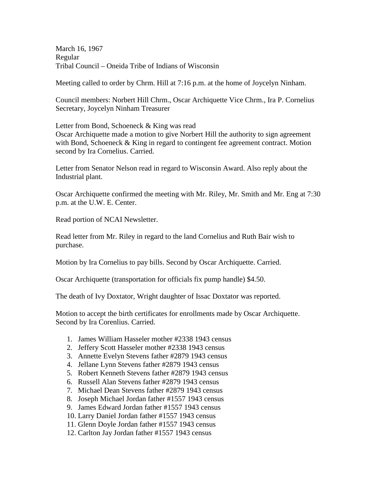March 16, 1967 Regular Tribal Council – Oneida Tribe of Indians of Wisconsin

Meeting called to order by Chrm. Hill at 7:16 p.m. at the home of Joycelyn Ninham.

Council members: Norbert Hill Chrm., Oscar Archiquette Vice Chrm., Ira P. Cornelius Secretary, Joycelyn Ninham Treasurer

Letter from Bond, Schoeneck & King was read Oscar Archiquette made a motion to give Norbert Hill the authority to sign agreement with Bond, Schoeneck & King in regard to contingent fee agreement contract. Motion second by Ira Cornelius. Carried.

Letter from Senator Nelson read in regard to Wisconsin Award. Also reply about the Industrial plant.

Oscar Archiquette confirmed the meeting with Mr. Riley, Mr. Smith and Mr. Eng at 7:30 p.m. at the U.W. E. Center.

Read portion of NCAI Newsletter.

Read letter from Mr. Riley in regard to the land Cornelius and Ruth Bair wish to purchase.

Motion by Ira Cornelius to pay bills. Second by Oscar Archiquette. Carried.

Oscar Archiquette (transportation for officials fix pump handle) \$4.50.

The death of Ivy Doxtator, Wright daughter of Issac Doxtator was reported.

Motion to accept the birth certificates for enrollments made by Oscar Archiquette. Second by Ira Corenlius. Carried.

- 1. James William Hasseler mother #2338 1943 census
- 2. Jeffery Scott Hasseler mother #2338 1943 census
- 3. Annette Evelyn Stevens father #2879 1943 census
- 4. Jellane Lynn Stevens father #2879 1943 census
- 5. Robert Kenneth Stevens father #2879 1943 census
- 6. Russell Alan Stevens father #2879 1943 census
- 7. Michael Dean Stevens father #2879 1943 census
- 8. Joseph Michael Jordan father #1557 1943 census
- 9. James Edward Jordan father #1557 1943 census
- 10. Larry Daniel Jordan father #1557 1943 census
- 11. Glenn Doyle Jordan father #1557 1943 census
- 12. Carlton Jay Jordan father #1557 1943 census